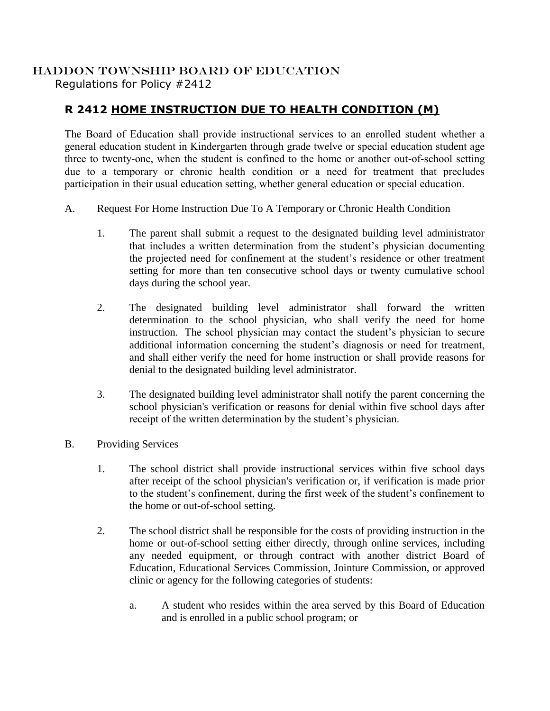## HADDON TOWNSHIP BOARD OF EDUCATION Regulations for Policy #2412

## **R 2412 HOME INSTRUCTION DUE TO HEALTH CONDITION (M)**

The Board of Education shall provide instructional services to an enrolled student whether a general education student in Kindergarten through grade twelve or special education student age three to twenty-one, when the student is confined to the home or another out-of-school setting due to a temporary or chronic health condition or a need for treatment that precludes participation in their usual education setting, whether general education or special education.

- A. Request For Home Instruction Due To A Temporary or Chronic Health Condition
	- 1. The parent shall submit a request to the designated building level administrator that includes a written determination from the student's physician documenting the projected need for confinement at the student's residence or other treatment setting for more than ten consecutive school days or twenty cumulative school days during the school year.
	- 2. The designated building level administrator shall forward the written determination to the school physician, who shall verify the need for home instruction. The school physician may contact the student's physician to secure additional information concerning the student's diagnosis or need for treatment, and shall either verify the need for home instruction or shall provide reasons for denial to the designated building level administrator.
	- 3. The designated building level administrator shall notify the parent concerning the school physician's verification or reasons for denial within five school days after receipt of the written determination by the student's physician.
- B. Providing Services
	- 1. The school district shall provide instructional services within five school days after receipt of the school physician's verification or, if verification is made prior to the student's confinement, during the first week of the student's confinement to the home or out-of-school setting.
	- 2. The school district shall be responsible for the costs of providing instruction in the home or out-of-school setting either directly, through online services, including any needed equipment, or through contract with another district Board of Education, Educational Services Commission, Jointure Commission, or approved clinic or agency for the following categories of students:
		- a. A student who resides within the area served by this Board of Education and is enrolled in a public school program; or